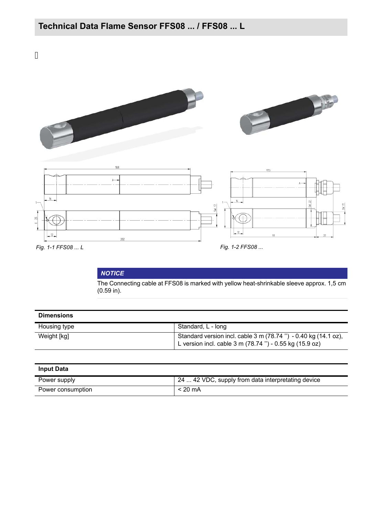ä,



*NOTICE*

The Connecting cable at FFS08 is marked with yellow heat-shrinkable sleeve approx. 1,5 cm (0.59 in).

| <b>Dimensions</b> |                                                                                                                           |
|-------------------|---------------------------------------------------------------------------------------------------------------------------|
| Housing type      | Standard, L - long                                                                                                        |
| Weight [kg]       | Standard version incl. cable 3 m (78.74 ") - 0.40 kg (14.1 oz),<br>L version incl. cable 3 m (78.74") - 0.55 kg (15.9 oz) |

| <b>Input Data</b> |                                                    |
|-------------------|----------------------------------------------------|
| Power supply      | 24  42 VDC, supply from data interpretating device |
| Power consumption | $< 20 \text{ mA}$                                  |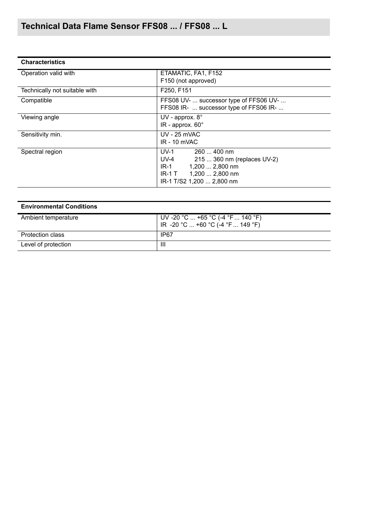| <b>Characteristics</b>        |                                        |  |
|-------------------------------|----------------------------------------|--|
| Operation valid with          | ETAMATIC, FA1, F152                    |  |
|                               | F150 (not approved)                    |  |
| Technically not suitable with | F250, F151                             |  |
| Compatible                    | FFS08 UV-  successor type of FFS06 UV- |  |
|                               | FFS08 IR-  successor type of FFS06 IR- |  |
| Viewing angle                 | UV - approx. $8^\circ$                 |  |
|                               | IR - approx. $60^\circ$                |  |
| Sensitivity min.              | <b>UV - 25 mVAC</b>                    |  |
|                               | $IR - 10$ mVAC                         |  |
| Spectral region               | 260  400 nm<br>$UV-1$                  |  |
|                               | UV-4<br>215  360 nm (replaces UV-2)    |  |
|                               | $IR-1$<br>1,200  2,800 nm              |  |
|                               | IR-1 T 1,200  2,800 nm                 |  |
|                               | IR-1 T/S2 1,200  2,800 nm              |  |

| <b>Environmental Conditions</b> |                                   |
|---------------------------------|-----------------------------------|
| Ambient temperature             | UV -20 °C  +65 °C (-4 °F  140 °F) |
|                                 | IR -20 °C  +60 °C (-4 °F  149 °F) |
| Protection class                | IP67                              |
| Level of protection             | Ш                                 |